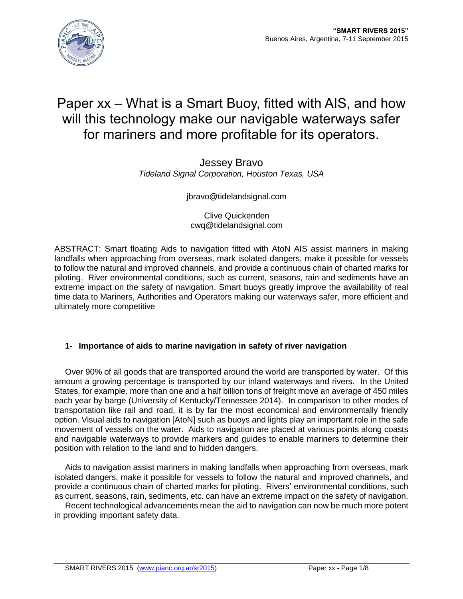# Paper xx – What is a Smart Buoy, fitted with AIS, and how will this technology make our navigable waterways safer for mariners and more profitable for its operators.

Jessey Bravo *Tideland Signal Corporation, Houston Texas, USA*

jbravo@tidelandsignal.com

Clive Quickenden cwq@tidelandsignal.com

ABSTRACT: Smart floating Aids to navigation fitted with AtoN AIS assist mariners in making landfalls when approaching from overseas, mark isolated dangers, make it possible for vessels to follow the natural and improved channels, and provide a continuous chain of charted marks for piloting. River environmental conditions, such as current, seasons, rain and sediments have an extreme impact on the safety of navigation. Smart buoys greatly improve the availability of real time data to Mariners, Authorities and Operators making our waterways safer, more efficient and ultimately more competitive

# **1- Importance of aids to marine navigation in safety of river navigation**

Over 90% of all goods that are transported around the world are transported by water. Of this amount a growing percentage is transported by our inland waterways and rivers. In the United States, for example, more than one and a half billion tons of freight move an average of 450 miles each year by barge (University of Kentucky/Tennessee 2014). In comparison to other modes of transportation like rail and road, it is by far the most economical and environmentally friendly option. Visual aids to navigation [AtoN] such as buoys and lights play an important role in the safe movement of vessels on the water. Aids to navigation are placed at various points along coasts and navigable waterways to provide markers and guides to enable mariners to determine their position with relation to the land and to hidden dangers.

Aids to navigation assist mariners in making landfalls when approaching from overseas, mark isolated dangers, make it possible for vessels to follow the natural and improved channels, and provide a continuous chain of charted marks for piloting. Rivers' environmental conditions, such as current, seasons, rain, sediments, etc. can have an extreme impact on the safety of navigation.

Recent technological advancements mean the aid to navigation can now be much more potent in providing important safety data.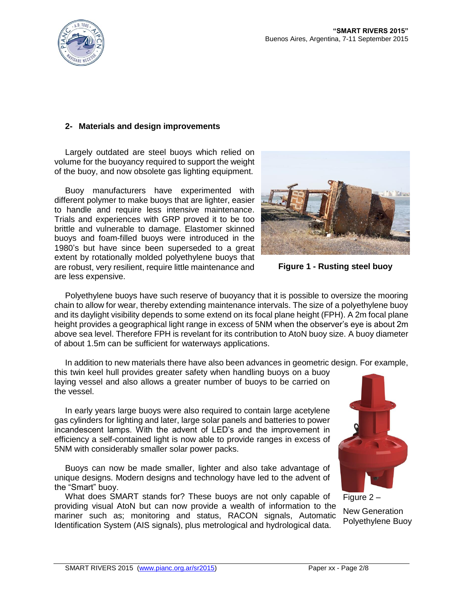

## **2- Materials and design improvements**

Largely outdated are steel buoys which relied on volume for the buoyancy required to support the weight of the buoy, and now obsolete gas lighting equipment.

Buoy manufacturers have experimented with different polymer to make buoys that are lighter, easier to handle and require less intensive maintenance. Trials and experiences with GRP proved it to be too brittle and vulnerable to damage. Elastomer skinned buoys and foam-filled buoys were introduced in the 1980's but have since been superseded to a great extent by rotationally molded polyethylene buoys that are robust, very resilient, require little maintenance and are less expensive.



**Figure 1 - Rusting steel buoy**

Polyethylene buoys have such reserve of buoyancy that it is possible to oversize the mooring chain to allow for wear, thereby extending maintenance intervals. The size of a polyethylene buoy and its daylight visibility depends to some extend on its focal plane height (FPH). A 2m focal plane height provides a geographical light range in excess of 5NM when the observer's eye is about 2m above sea level. Therefore FPH is revelant for its contribution to AtoN buoy size. A buoy diameter of about 1.5m can be sufficient for waterways applications.

In addition to new materials there have also been advances in geometric design. For example,

this twin keel hull provides greater safety when handling buoys on a buoy laying vessel and also allows a greater number of buoys to be carried on the vessel.

In early years large buoys were also required to contain large acetylene gas cylinders for lighting and later, large solar panels and batteries to power incandescent lamps. With the advent of LED's and the improvement in efficiency a self-contained light is now able to provide ranges in excess of 5NM with considerably smaller solar power packs.

Buoys can now be made smaller, lighter and also take advantage of unique designs. Modern designs and technology have led to the advent of the "Smart" buoy.

What does SMART stands for? These buoys are not only capable of providing visual AtoN but can now provide a wealth of information to the mariner such as; monitoring and status, RACON signals, Automatic Identification System (AIS signals), plus metrological and hydrological data.



Figure 2 –

New Generation Polyethylene Buoy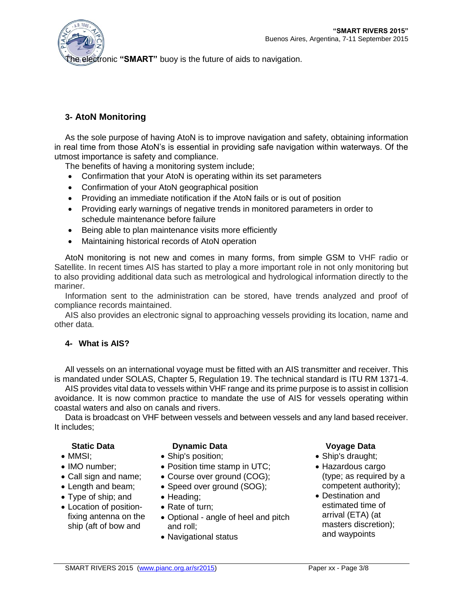

**e electronic "SMART"** buoy is the future of aids to navigation.

# **3- AtoN Monitoring**

As the sole purpose of having AtoN is to improve navigation and safety, obtaining information in real time from those AtoN's is essential in providing safe navigation within waterways. Of the utmost importance is safety and compliance.

The benefits of having a monitoring system include;

- Confirmation that your AtoN is operating within its set parameters
- Confirmation of your AtoN geographical position
- Providing an immediate notification if the AtoN fails or is out of position
- Providing early warnings of negative trends in monitored parameters in order to schedule maintenance before failure
- Being able to plan maintenance visits more efficiently
- Maintaining historical records of AtoN operation

AtoN monitoring is not new and comes in many forms, from simple GSM to VHF radio or Satellite. In recent times AIS has started to play a more important role in not only monitoring but to also providing additional data such as metrological and hydrological information directly to the mariner.

Information sent to the administration can be stored, have trends analyzed and proof of compliance records maintained.

AIS also provides an electronic signal to approaching vessels providing its location, name and other data.

### **4- What is AIS?**

All vessels on an international voyage must be fitted with an AIS transmitter and receiver. This is mandated under SOLAS, Chapter 5, Regulation 19. The technical standard is ITU RM 1371-4.

AIS provides vital data to vessels within VHF range and its prime purpose is to assist in collision avoidance. It is now common practice to mandate the use of AIS for vessels operating within coastal waters and also on canals and rivers.

Data is broadcast on VHF between vessels and between vessels and any land based receiver. It includes;

- $\bullet$  MMSI $\cdot$
- IMO number;
- Call sign and name;
- Length and beam;
- Type of ship; and
- Location of positionfixing antenna on the ship (aft of bow and

### **Static Data Dynamic Data Voyage Data**

- Ship's position;
- Position time stamp in UTC;
- Course over ground (COG);
- Speed over ground (SOG);
- Heading;
- Rate of turn;
- Optional angle of heel and pitch and roll;
- Navigational status

- Ship's draught;
- Hazardous cargo (type; as required by a competent authority);
- Destination and estimated time of arrival (ETA) (at masters discretion); and waypoints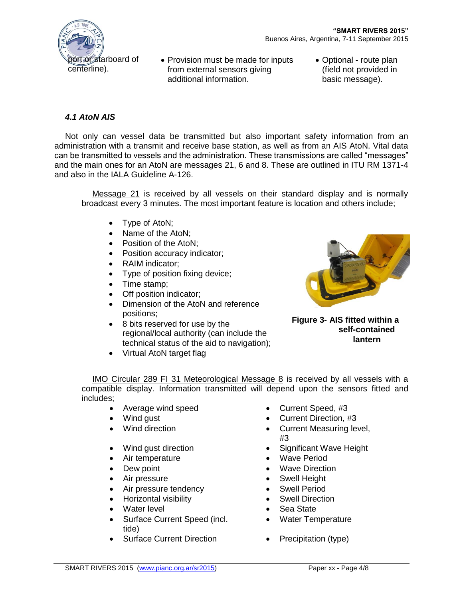

- Provision must be made for inputs from external sensors giving additional information.
- Optional route plan (field not provided in basic message).

## *4.1 AtoN AIS*

Not only can vessel data be transmitted but also important safety information from an administration with a transmit and receive base station, as well as from an AIS AtoN. Vital data can be transmitted to vessels and the administration. These transmissions are called "messages" and the main ones for an AtoN are messages 21, 6 and 8. These are outlined in ITU RM 1371-4 and also in the IALA Guideline A-126.

Message 21 is received by all vessels on their standard display and is normally broadcast every 3 minutes. The most important feature is location and others include;

- Type of AtoN;
- Name of the AtoN;
- Position of the AtoN:
- Position accuracy indicator;
- RAIM indicator;
- Type of position fixing device;
- Time stamp;
- Off position indicator;
- Dimension of the AtoN and reference positions;
- 8 bits reserved for use by the regional/local authority (can include the technical status of the aid to navigation);
- Virtual AtoN target flag



**Figure 3- AIS fitted within a self-contained lantern**

IMO Circular 289 FI 31 Meteorological Message 8 is received by all vessels with a compatible display. Information transmitted will depend upon the sensors fitted and includes;

- Average wind speed **•** Current Speed, #3
- 
- 
- 
- Air temperature **Wave Period Wave Period**
- 
- 
- Air pressure tendency **COV COV COV COV** Swell Period
- Horizontal visibility **SWELL Direction CONTENT**
- Water level **Contract Contract Contract Contract Contract Contract Contract Contract Contract Contract Contract Contract Contract Contract Contract Contract Contract Contract Contract Contract Contract Contract Contract**
- Surface Current Speed (incl. tide)
- Surface Current Direction Precipitation (type)
- 
- Wind gust **Current Direction, #3**
- Wind direction **Current Measuring level,** #3
- Wind gust direction **Constructed Significant Wave Height** 
	-
- Dew point **Wave Direction**
- Air pressure **Contact Swell Height** 
	-
	-
	-
	- Water Temperature
	-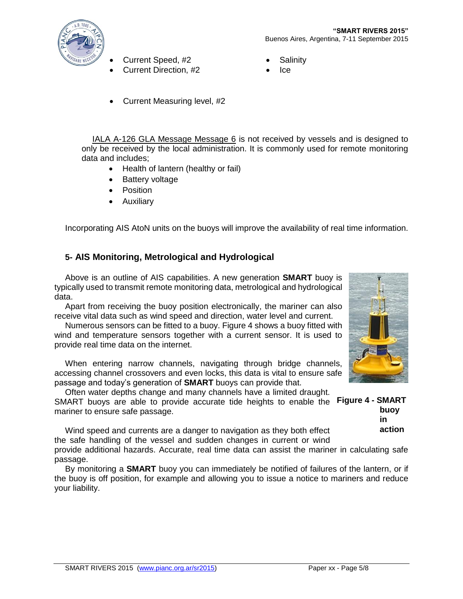

- Current Speed, #2 **Current Speed, #2**
- Current Direction, #2 **ICE**
- -
- Current Measuring level, #2

IALA A-126 GLA Message Message 6 is not received by vessels and is designed to only be received by the local administration. It is commonly used for remote monitoring data and includes;

- Health of lantern (healthy or fail)
- Battery voltage
- Position
- Auxiliary

Incorporating AIS AtoN units on the buoys will improve the availability of real time information.

## **5- AIS Monitoring, Metrological and Hydrological**

Above is an outline of AIS capabilities. A new generation **SMART** buoy is typically used to transmit remote monitoring data, metrological and hydrological data.

Apart from receiving the buoy position electronically, the mariner can also receive vital data such as wind speed and direction, water level and current.

Numerous sensors can be fitted to a buoy. Figure 4 shows a buoy fitted with wind and temperature sensors together with a current sensor. It is used to provide real time data on the internet.

When entering narrow channels, navigating through bridge channels, accessing channel crossovers and even locks, this data is vital to ensure safe passage and today's generation of **SMART** buoys can provide that.

Often water depths change and many channels have a limited draught. SMART buoys are able to provide accurate tide heights to enable the **Figure 4 - SMART**  mariner to ensure safe passage. **buoy** 

Wind speed and currents are a danger to navigation as they both effect the safe handling of the vessel and sudden changes in current or wind

**in action**

provide additional hazards. Accurate, real time data can assist the mariner in calculating safe passage.

By monitoring a **SMART** buoy you can immediately be notified of failures of the lantern, or if the buoy is off position, for example and allowing you to issue a notice to mariners and reduce your liability.

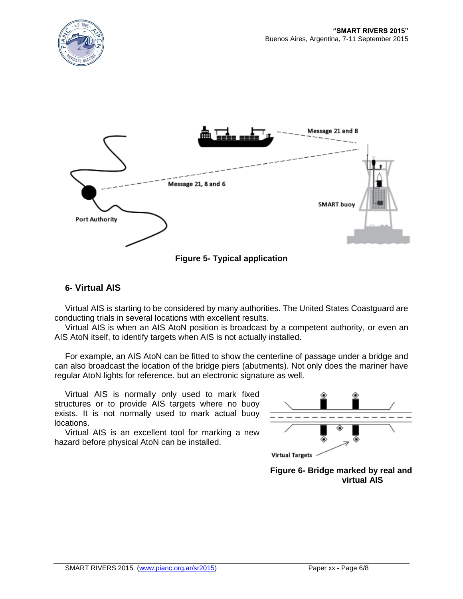



**Figure 5- Typical application**

# **6- Virtual AIS**

Virtual AIS is starting to be considered by many authorities. The United States Coastguard are conducting trials in several locations with excellent results.

Virtual AIS is when an AIS AtoN position is broadcast by a competent authority, or even an AIS AtoN itself, to identify targets when AIS is not actually installed.

For example, an AIS AtoN can be fitted to show the centerline of passage under a bridge and can also broadcast the location of the bridge piers (abutments). Not only does the mariner have regular AtoN lights for reference. but an electronic signature as well.

Virtual AIS is normally only used to mark fixed structures or to provide AIS targets where no buoy exists. It is not normally used to mark actual buoy locations.

Virtual AIS is an excellent tool for marking a new hazard before physical AtoN can be installed.



**Figure 6- Bridge marked by real and virtual AIS**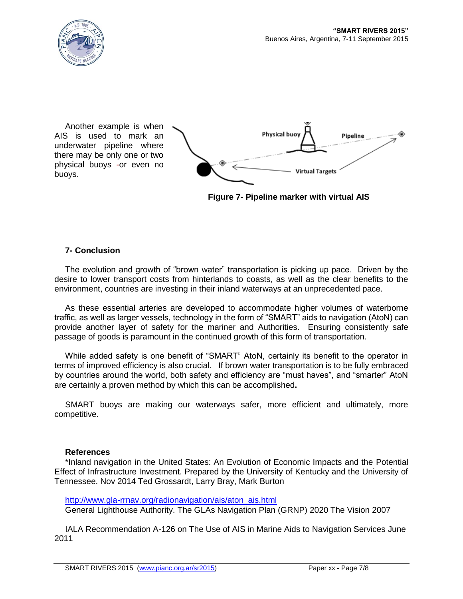

Another example is when AIS is used to mark an underwater pipeline where there may be only one or two physical buoys -or even no buoys.



**Figure 7- Pipeline marker with virtual AIS**

### **7- Conclusion**

The evolution and growth of "brown water" transportation is picking up pace. Driven by the desire to lower transport costs from hinterlands to coasts, as well as the clear benefits to the environment, countries are investing in their inland waterways at an unprecedented pace.

As these essential arteries are developed to accommodate higher volumes of waterborne traffic, as well as larger vessels, technology in the form of "SMART" aids to navigation (AtoN) can provide another layer of safety for the mariner and Authorities. Ensuring consistently safe passage of goods is paramount in the continued growth of this form of transportation.

While added safety is one benefit of "SMART" AtoN, certainly its benefit to the operator in terms of improved efficiency is also crucial. If brown water transportation is to be fully embraced by countries around the world, both safety and efficiency are "must haves", and "smarter" AtoN are certainly a proven method by which this can be accomplished**.**

SMART buoys are making our waterways safer, more efficient and ultimately, more competitive.

### **References**

\*Inland navigation in the United States: An Evolution of Economic Impacts and the Potential Effect of Infrastructure Investment. Prepared by the University of Kentucky and the University of Tennessee. Nov 2014 Ted Grossardt, Larry Bray, Mark Burton

[http://www.gla-rrnav.org/radionavigation/ais/aton\\_ais.html](http://www.gla-rrnav.org/radionavigation/ais/aton_ais.html) General Lighthouse Authority. The GLAs Navigation Plan (GRNP) 2020 The Vision 2007

IALA Recommendation A-126 on The Use of AIS in Marine Aids to Navigation Services June 2011